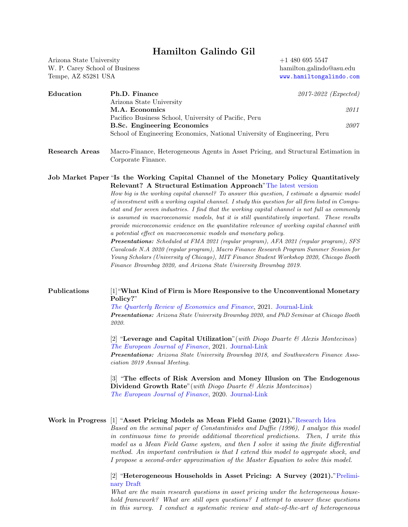# Hamilton Galindo Gil

Arizona State University W. P. Carey School of Business Tempe, AZ 85281 USA

+1 480 695 5547 hamilton.galindo@asu.edu <www.hamiltongalindo.com>

| Education | Ph.D. Finance                                                             | 2017-2022 (Expected) |
|-----------|---------------------------------------------------------------------------|----------------------|
|           | Arizona State University                                                  |                      |
|           | M.A. Economics                                                            | 2011                 |
|           | Pacifico Business School, University of Pacific, Peru                     |                      |
|           | <b>B.Sc. Engineering Economics</b>                                        | 2007                 |
|           | School of Engineering Economics, National University of Engineering, Peru |                      |
|           |                                                                           |                      |

Research Areas Macro-Finance, Heterogeneous Agents in Asset Pricing, and Structural Estimation in Corporate Finance.

### Job Market Paper "Is the Working Capital Channel of the Monetary Policy Quantitatively Relevant? A Structural Estimation Approach["The latest version](http://hamiltongalindo.com/research/)

How big is the working capital channel? To answer this question, I estimate a dynamic model of investment with a working capital channel. I study this question for all firm listed in Compustat and for seven industries. I find that the working capital channel is not full as commonly is assumed in macroeconomic models, but it is still quantitatively important. These results provide microeconomic evidence on the quantitative relevance of working capital channel with a potential effect on macroeconomic models and monetary policy.

Presentations: Scheduled at FMA 2021 (regular program), AFA 2021 (regular program), SFS Cavalcade N.A 2020 (regular program), Macro Finance Research Program Summer Session for Young Scholars (University of Chicago), MIT Finance Student Workshop 2020, Chicago Booth Finance Brownbag 2020, and Arizona State University Brownbag 2019.

## Publications [1]"What Kind of Firm is More Responsive to the Unconventional Monetary Policy?"

The Quarterly Review of Economics and Finance, 2021. [Journal-Link](https://authors.elsevier.com/sd/article/S1062-9769(21)00106-X) Presentations: Arizona State University Brownbag 2020, and PhD Seminar at Chicago Booth 2020.

[2] "Leverage and Capital Utilization" (with Diogo Duarte  $\mathcal{B}$  Alexis Montecinos) The European Journal of Finance, 2021. [Journal-Link](https://www.tandfonline.com/eprint/IZQB4R2XDKXEJ2D5PI6J/full?target=10.1080/1351847X.2021.1924215) Presentations: Arizona State University Brownbag 2018, and Southwestern Finance Asso-

ciation 2019 Annual Meeting.

[3] "The effects of Risk Aversion and Money Illusion on The Endogenous Dividend Growth Rate" (with Diogo Duarte  $\mathcal{C}$  Alexis Montecinos) The European Journal of Finance, 2020. [Journal-Link](https://www.tandfonline.com/doi/abs/10.1080/1351847X.2019.1687098)

## Work in Progress [1] "Asset Pricing Models as Mean Field Game (2021).["Research Idea](https://www.dropbox.com/s/t4f37ro7ja781nm/Research_Proposal.pdf?dl=0)

Based on the seminal paper of Constantinides and Duffie (1996), I analyze this model in continuous time to provide additional theoretical predictions. Then, I write this model as a Mean Field Game system, and then I solve it using the finite differential method. An important contribution is that I extend this model to aggregate shock, and I propose a second-order approximation of the Master Equation to solve this model.

### [2] "Heterogeneous Households in Asset Pricing: A Survey (2021).["Prelimi](https://www.dropbox.com/s/sngx1x51asuon5c/HA_AP-%5BJEL%5D%5B02132021%5D.pdf?dl=0)[nary Draft](https://www.dropbox.com/s/sngx1x51asuon5c/HA_AP-%5BJEL%5D%5B02132021%5D.pdf?dl=0)

What are the main research questions in asset pricing under the heterogeneous household framework? What are still open questions? I attempt to answer these questions in this survey. I conduct a systematic review and state-of-the-art of heterogeneous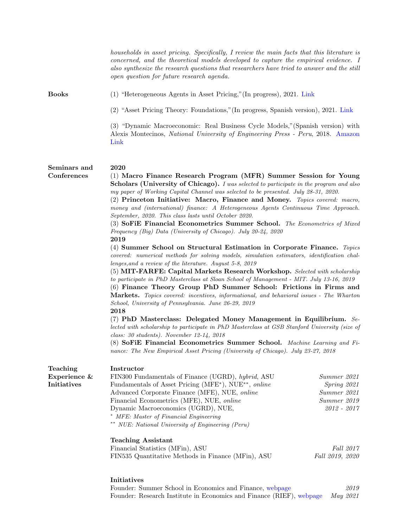|                                    | Initiatives                                                                                                                                                                                                                                  |                                                                                 |  |
|------------------------------------|----------------------------------------------------------------------------------------------------------------------------------------------------------------------------------------------------------------------------------------------|---------------------------------------------------------------------------------|--|
|                                    | Financial Statistics (MFin), ASU<br>FIN535 Quantitative Methods in Finance (MFin), ASU                                                                                                                                                       | <i>Fall</i> 2017<br>Fall 2019, 2020                                             |  |
|                                    | <b>Teaching Assistant</b>                                                                                                                                                                                                                    |                                                                                 |  |
|                                    | * MFE: Master of Financial Engineering<br>** NUE: National University of Engineering (Peru)                                                                                                                                                  |                                                                                 |  |
|                                    | Dynamic Macroeconomics (UGRD), NUE,                                                                                                                                                                                                          | 2012 - 2017                                                                     |  |
|                                    | Financial Econometrics (MFE), NUE, online                                                                                                                                                                                                    | Summer 2019                                                                     |  |
|                                    | Advanced Corporate Finance (MFE), NUE, online                                                                                                                                                                                                | Summer 2021                                                                     |  |
| Experience &<br><b>Initiatives</b> | FIN300 Fundamentals of Finance (UGRD), hybrid, ASU<br>Fundamentals of Asset Pricing (MFE*), NUE**, online                                                                                                                                    | Summer 2021<br>Spring 2021                                                      |  |
| <b>Teaching</b>                    | Instructor                                                                                                                                                                                                                                   |                                                                                 |  |
|                                    | nance: The New Empirical Asset Pricing (University of Chicago). July 23-27, 2018                                                                                                                                                             |                                                                                 |  |
|                                    | class: $30$ students). November 12-14, 2018<br>(8) SoFiE Financial Econometrics Summer School. Machine Learning and Fi-                                                                                                                      |                                                                                 |  |
|                                    | lected with scholarship to participate in PhD Masterclass at GSB Stanford University (size of                                                                                                                                                |                                                                                 |  |
|                                    | $(7)$ PhD Masterclass: Delegated Money Management in Equilibrium. Se-                                                                                                                                                                        |                                                                                 |  |
|                                    | School, University of Pennsylvania. June 26-29, 2019<br>2018                                                                                                                                                                                 |                                                                                 |  |
|                                    | <b>Markets.</b> Topics covered: incentives, informational, and behavioral issues - The Wharton                                                                                                                                               |                                                                                 |  |
|                                    | (5) MIT-FARFE: Capital Markets Research Workshop. Selected with scholarship<br>to participate in PhD Masterclass at Sloan School of Management - MIT. July 13-16, 2019<br>(6) Finance Theory Group PhD Summer School: Frictions in Firms and |                                                                                 |  |
|                                    |                                                                                                                                                                                                                                              |                                                                                 |  |
|                                    | covered: numerical methods for solving models, simulation estimators, identification chal-                                                                                                                                                   |                                                                                 |  |
|                                    |                                                                                                                                                                                                                                              | 2019<br>(4) Summer School on Structural Estimation in Corporate Finance. Topics |  |
|                                    | Frequency (Big) Data (University of Chicago). July 20-24, 2020                                                                                                                                                                               |                                                                                 |  |
|                                    | September, 2020. This class lasts until October 2020.<br>(3) SoFiE Financial Econometrics Summer School. The Econometrics of Mixed                                                                                                           |                                                                                 |  |
|                                    | money and (international) finance: A Heterogeneous Agents Continuous Time Approach.                                                                                                                                                          |                                                                                 |  |
|                                    | (2) Princeton Initiative: Macro, Finance and Money. Topics covered: macro,                                                                                                                                                                   |                                                                                 |  |
|                                    | <b>Scholars (University of Chicago).</b> I was selected to participate in the program and also<br>my paper of Working Capital Channel was selected to be presented. July 28-31, 2020.                                                        |                                                                                 |  |
| Conferences                        | (1) Macro Finance Research Program (MFR) Summer Session for Young                                                                                                                                                                            |                                                                                 |  |
| Seminars and                       | 2020                                                                                                                                                                                                                                         |                                                                                 |  |
|                                    | Link                                                                                                                                                                                                                                         |                                                                                 |  |
|                                    | (3) "Dynamic Macroeconomic: Real Business Cycle Models," (Spanish version) with<br>Alexis Montecinos, National University of Engineering Press - Peru, 2018. Amazon                                                                          |                                                                                 |  |
|                                    | (2) "Asset Pricing Theory: Foundations," (In progress, Spanish version), 2021. Link                                                                                                                                                          |                                                                                 |  |
|                                    |                                                                                                                                                                                                                                              |                                                                                 |  |
| <b>Books</b>                       | (1) "Heterogeneous Agents in Asset Pricing," (In progress), 2021. Link                                                                                                                                                                       |                                                                                 |  |
|                                    | also synthesize the research questions that researchers have tried to answer and the still<br>open question for future research agenda.                                                                                                      |                                                                                 |  |
|                                    | concerned, and the theoretical models developed to capture the empirical evidence. I                                                                                                                                                         |                                                                                 |  |
|                                    | households in asset pricing. Specifically, I review the main facts that this literature is                                                                                                                                                   |                                                                                 |  |

Founder: Summer School in Economics and Finance, [webpage](https://fieecs.uni.edu.pe/summer-school/) 2019 Founder: Research Institute in Economics and Finance (RIEF), [webpage](https://ri-ef.com/) May 2021